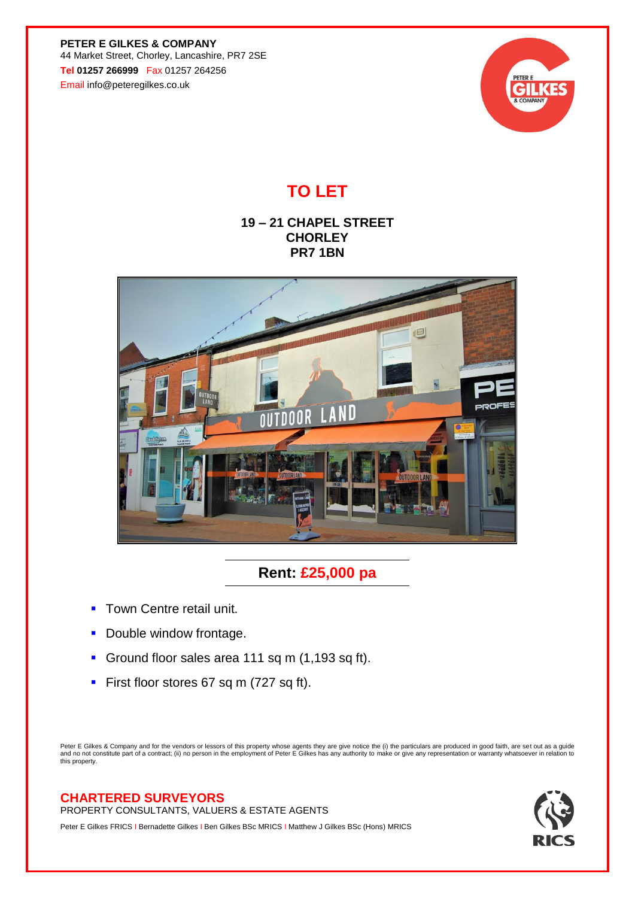**PETER E GILKES & COMPANY** 44 Market Street, Chorley, Lancashire, PR7 2SE **Tel 01257 266999** Fax 01257 264256 Email info@peteregilkes.co.uk



## **TO LET**

## **19 – 21 CHAPEL STREET CHORLEY PR7 1BN**



## **Rent: £25,000 pa**

- **Town Centre retail unit.**
- **Double window frontage.**
- **Ground floor sales area 111 sq m (1,193 sq ft).**
- **First floor stores 67 sq m (727 sq ft).**

Peter E Gilkes & Company and for the vendors or lessors of this property whose agents they are give notice the (i) the particulars are produced in good faith, are set out as a guide<br>and no not constitute part of a contract this property.

## **CHARTERED SURVEYORS**

PROPERTY CONSULTANTS, VALUERS & ESTATE AGENTS